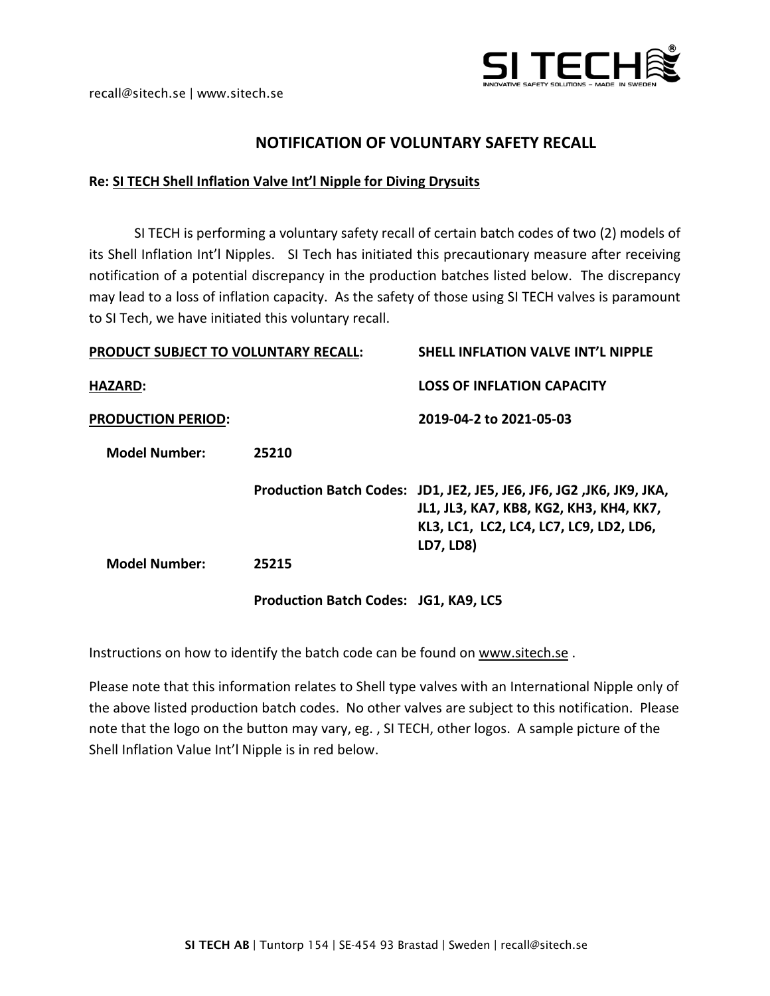

## **NOTIFICATION OF VOLUNTARY SAFETY RECALL**

## **Re: SI TECH Shell Inflation Valve Int'l Nipple for Diving Drysuits**

SI TECH is performing a voluntary safety recall of certain batch codes of two (2) models of its Shell Inflation Int'l Nipples. SI Tech has initiated this precautionary measure after receiving notification of a potential discrepancy in the production batches listed below. The discrepancy may lead to a loss of inflation capacity. As the safety of those using SI TECH valves is paramount to SI Tech, we have initiated this voluntary recall.

| <b>PRODUCT SUBJECT TO VOLUNTARY RECALL:</b> |                                       | <b>SHELL INFLATION VALVE INT'L NIPPLE</b>                                                                                                                               |
|---------------------------------------------|---------------------------------------|-------------------------------------------------------------------------------------------------------------------------------------------------------------------------|
| <b>HAZARD:</b>                              |                                       | <b>LOSS OF INFLATION CAPACITY</b>                                                                                                                                       |
| <b>PRODUCTION PERIOD:</b>                   |                                       | 2019-04-2 to 2021-05-03                                                                                                                                                 |
| <b>Model Number:</b>                        | 25210                                 |                                                                                                                                                                         |
|                                             |                                       | Production Batch Codes: JD1, JE2, JE5, JE6, JF6, JG2, JK6, JK9, JKA,<br>JL1, JL3, KA7, KB8, KG2, KH3, KH4, KK7,<br>KL3, LC1, LC2, LC4, LC7, LC9, LD2, LD6,<br>LD7, LD8) |
| <b>Model Number:</b>                        | 25215                                 |                                                                                                                                                                         |
|                                             | Production Batch Codes: JG1, KA9, LC5 |                                                                                                                                                                         |

Instructions on how to identify the batch code can be found on [www.sitech.se](http://www.sitech.se/) .

Please note that this information relates to Shell type valves with an International Nipple only of the above listed production batch codes. No other valves are subject to this notification. Please note that the logo on the button may vary, eg. , SI TECH, other logos. A sample picture of the Shell Inflation Value Int'l Nipple is in red below.